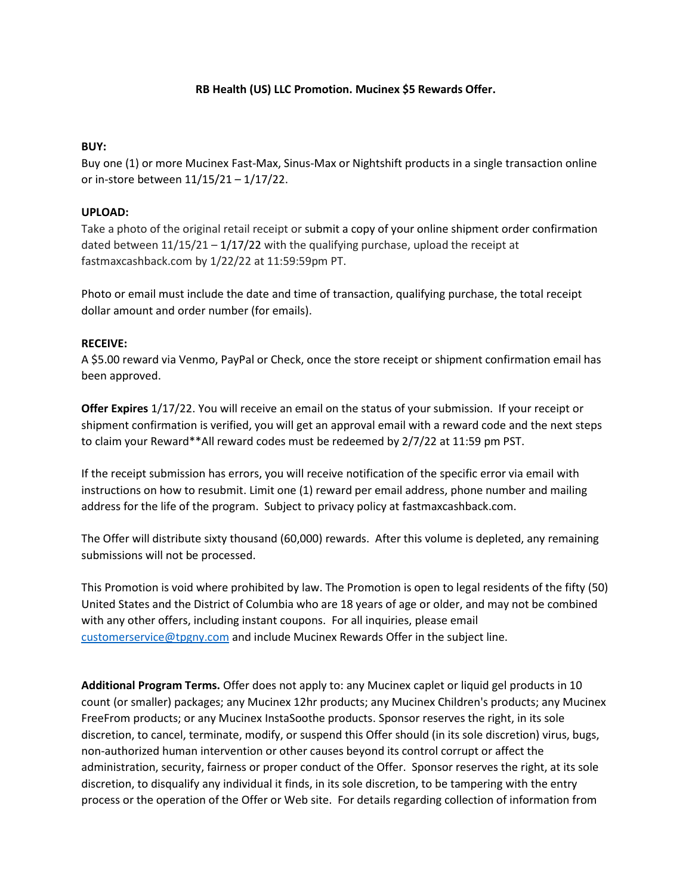## **RB Health (US) LLC Promotion. Mucinex \$5 Rewards Offer.**

## **BUY:**

Buy one (1) or more Mucinex Fast-Max, Sinus-Max or Nightshift products in a single transaction online or in-store between 11/15/21 – 1/17/22.

## **UPLOAD:**

Take a photo of the original retail receipt or submit a copy of your online shipment order confirmation dated between 11/15/21 – 1/17/22 with the qualifying purchase, upload the receipt at fastmaxcashback.com by 1/22/22 at 11:59:59pm PT.

Photo or email must include the date and time of transaction, qualifying purchase, the total receipt dollar amount and order number (for emails).

## **RECEIVE:**

A \$5.00 reward via Venmo, PayPal or Check, once the store receipt or shipment confirmation email has been approved.

**Offer Expires** 1/17/22. You will receive an email on the status of your submission. If your receipt or shipment confirmation is verified, you will get an approval email with a reward code and the next steps to claim your Reward\*\*All reward codes must be redeemed by 2/7/22 at 11:59 pm PST.

If the receipt submission has errors, you will receive notification of the specific error via email with instructions on how to resubmit. Limit one (1) reward per email address, phone number and mailing address for the life of the program. Subject to privacy policy at fastmaxcashback.com.

The Offer will distribute sixty thousand (60,000) rewards. After this volume is depleted, any remaining submissions will not be processed.

This Promotion is void where prohibited by law. The Promotion is open to legal residents of the fifty (50) United States and the District of Columbia who are 18 years of age or older, and may not be combined with any other offers, including instant coupons. For all inquiries, please email [customerservice@tpgny.com](mailto:customerservice@tpgny.com) and include Mucinex Rewards Offer in the subject line.

**Additional Program Terms.** Offer does not apply to: any Mucinex caplet or liquid gel products in 10 count (or smaller) packages; any Mucinex 12hr products; any Mucinex Children's products; any Mucinex FreeFrom products; or any Mucinex InstaSoothe products. Sponsor reserves the right, in its sole discretion, to cancel, terminate, modify, or suspend this Offer should (in its sole discretion) virus, bugs, non-authorized human intervention or other causes beyond its control corrupt or affect the administration, security, fairness or proper conduct of the Offer. Sponsor reserves the right, at its sole discretion, to disqualify any individual it finds, in its sole discretion, to be tampering with the entry process or the operation of the Offer or Web site. For details regarding collection of information from